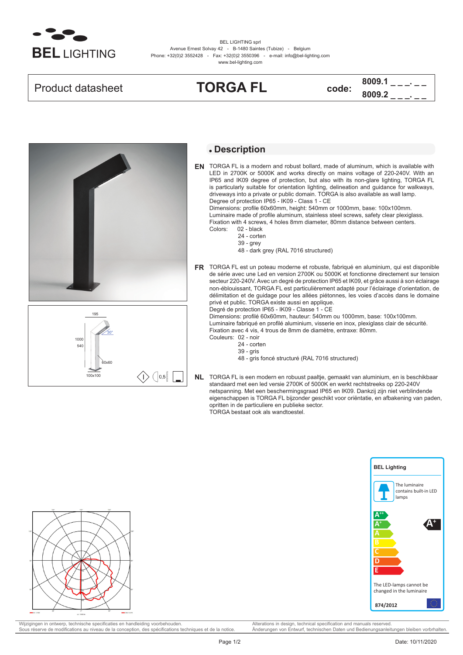

BEL LIGHTING sprl Avenue Ernest Solvay 42 - B-1480 Saintes (Tubize) - Belgium Phone: +32(0)2 3552428 - Fax: +32(0)2 3550396 - e-mail: info@bel-lighting.com www.bel-lighting.com







## **Description**

TORGA FL is a modern and robust bollard, made of aluminum, which is available with **EN** LED in 2700K or 5000K and works directly on mains voltage of 220-240V. With an IP65 and IK09 degree of protection, but also with its non-glare lighting, TORGA FL is particularly suitable for orientation lighting, delineation and guidance for walkways, driveways into a private or public domain. TORGA is also available as wall lamp. Degree of protection IP65 - IK09 - Class 1 - CE

Dimensions: profile 60x60mm, height: 540mm or 1000mm, base: 100x100mm. Luminaire made of profile aluminum, stainless steel screws, safety clear plexiglass. Fixation with 4 screws, 4 holes 8mm diameter, 80mm distance between centers.

- 02 black 24 - corten
- 39 grey
- 48 dark grey (RAL 7016 structured)
- TORGA FL est un poteau moderne et robuste, fabriqué en aluminium, qui est disponible **FR** de série avec une Led en version 2700K ou 5000K et fonctionne directement sur tension secteur 220-240V. Avec un degré de protection IP65 et IK09, et grâce aussi à son éclairage non-éblouissant, TORGA FL est particulièrement adapté pour l'éclairage d'orientation, de délimitation et de guidage pour les allées piétonnes, les voies d'accès dans le domaine privé et public. TORGA existe aussi en applique.

Degré de protection IP65 - IK09 - Classe 1 - CE Dimensions: profilé 60x60mm, hauteur: 540mm ou 1000mm, base: 100x100mm. Luminaire fabriqué en profilé aluminium, visserie en inox, plexiglass clair de sécurité. Fixation avec 4 vis, 4 trous de 8mm de diamètre, entraxe: 80mm.

Couleurs: 02 - noir

- 24 corten
- 39 gris
- 48 gris foncé structuré (RAL 7016 structured)

TORGA FL is een modern en robuust paaltje, gemaakt van aluminium, en is beschikbaar **NL** standaard met een led versie 2700K of 5000K en werkt rechtstreeks op 220-240V netspanning. Met een beschermingsgraad IP65 en IK09. Dankzij zijn niet verblindende eigenschappen is TORGA FL bijzonder geschikt voor oriëntatie, en afbakening van paden, opritten in de particuliere en publieke sector. TORGA bestaat ook als wandtoestel.





Wijzigingen in ontwerp, technische specificaties en handleiding voorbehouden. Alterations in design, technical specification and manuals reserved.<br>
Sous réserve de modifications au niveau de la conception, des spécificatio Sous réserve de modifications au niveau de la conception, des spécifications techniques et de la notice.